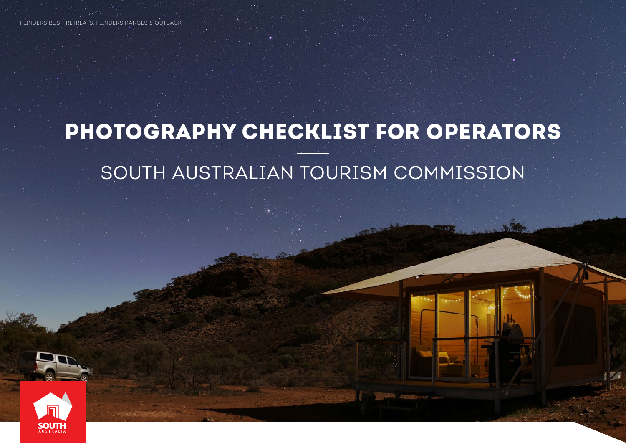# PHOTOGRAPHY CHECKLIST FOR OPERATORS SOUTH AUSTRALIAN TOURISM COMMISSION



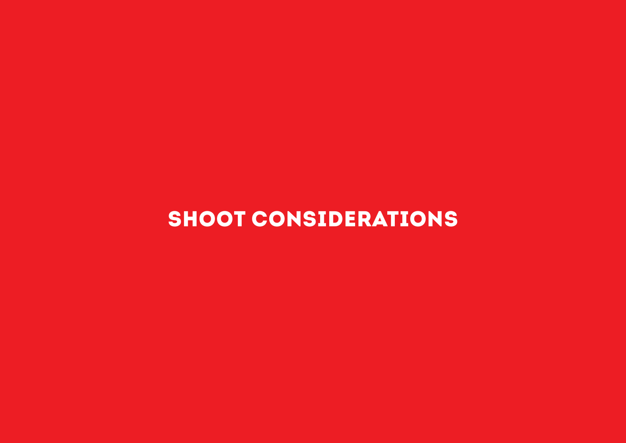## SHOOT CONSIDERATIONS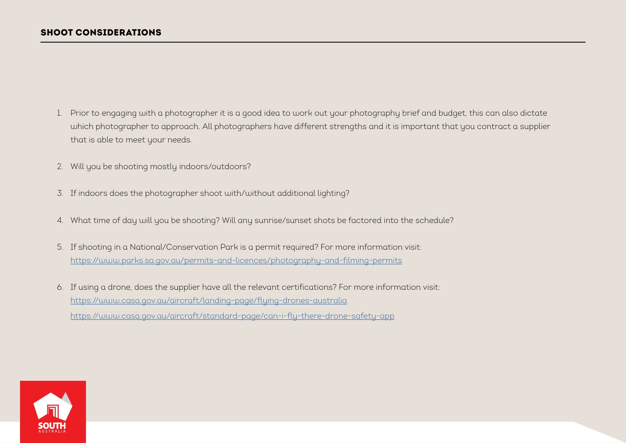- 1. Prior to engaging with a photographer it is a good idea to work out your photography brief and budget, this can also dictate which photographer to approach. All photographers have different strengths and it is important that you contract a supplier that is able to meet your needs.
- 2. Will you be shooting mostly indoors/outdoors?
- 3. If indoors does the photographer shoot with/without additional lighting?
- 4. What time of day will you be shooting? Will any sunrise/sunset shots be factored into the schedule?
- 5. If shooting in a National/Conservation Park is a permit required? For more information visit: <https://www.parks.sa.gov.au/permits-and-licences/photography-and-filming-permits>
- 6. If using a drone, does the supplier have all the relevant certifications? For more information visit: https://www.casa.gov.au/aircraft/landing-page/flying-drones-australia <https://www.casa.gov.au/aircraft/standard-page/can-i-fly-there-drone-safety-app>

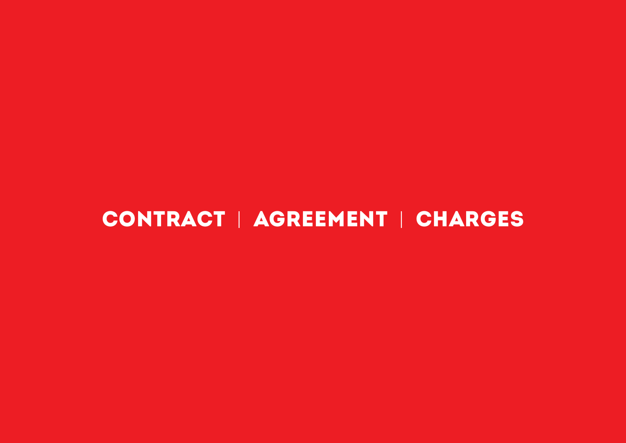## CONTRACT | AGREEMENT | CHARGES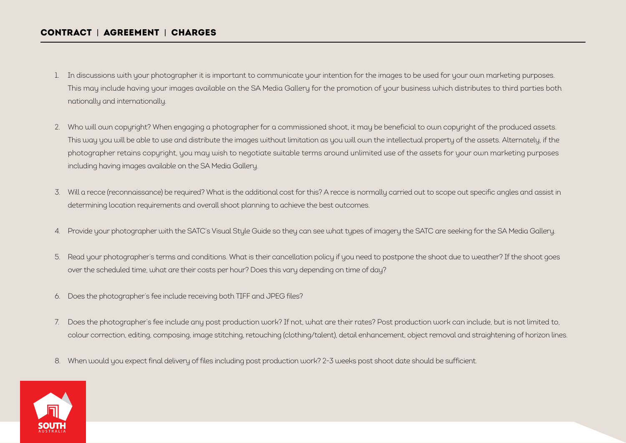### CONTRACT | AGREEMENT | CHARGES

- 1. In discussions with your photographer it is important to communicate your intention for the images to be used for your own marketing purposes. This may include having your images available on the SA Media Gallery for the promotion of your business which distributes to third parties both nationally and internationally.
- 2. Who will own copyright? When engaging a photographer for a commissioned shoot, it may be beneficial to own copyright of the produced assets. This way you will be able to use and distribute the images without limitation as you will own the intellectual property of the assets. Alternately, if the photographer retains copyright, you may wish to negotiate suitable terms around unlimited use of the assets for your own marketing purposes including having images available on the SA Media Gallery.
- 3. Will a recce (reconnaissance) be required? What is the additional cost for this? A recce is normally carried out to scope out specific angles and assist in determining location requirements and overall shoot planning to achieve the best outcomes.
- 4. Provide your photographer with the SATC's Visual Style Guide so they can see what types of imagery the SATC are seeking for the SA Media Gallery.
- 5. Read your photographer's terms and conditions. What is their cancellation policy if you need to postpone the shoot due to weather? If the shoot goes over the scheduled time, what are their costs per hour? Does this vary depending on time of day?
- 6. Does the photographer's fee include receiving both TIFF and JPEG files?
- 7. Does the photographer's fee include any post production work? If not, what are their rates? Post production work can include, but is not limited to, colour correction, editing, composing, image stitching, retouching (clothing/talent), detail enhancement, object removal and straightening of horizon lines.
- 8. When would you expect final delivery of files including post production work? 2-3 weeks post shoot date should be sufficient.

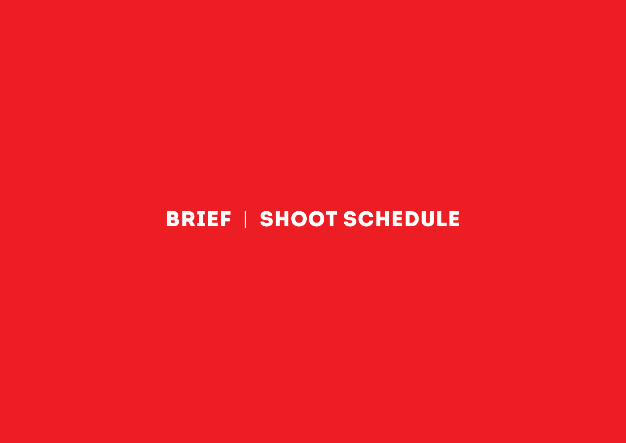## BRIEF | SHOOT SCHEDULE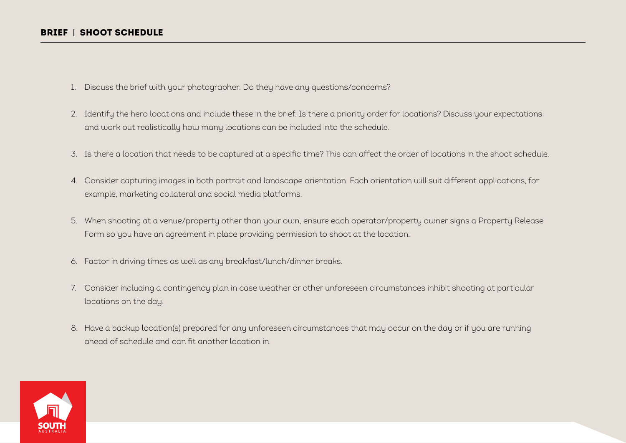- 1. Discuss the brief with your photographer. Do they have any questions/concerns?
- 2. Identify the hero locations and include these in the brief. Is there a priority order for locations? Discuss your expectations and work out realistically how many locations can be included into the schedule.
- 3. Is there a location that needs to be captured at a specific time? This can affect the order of locations in the shoot schedule.
- 4. Consider capturing images in both portrait and landscape orientation. Each orientation will suit different applications, for example, marketing collateral and social media platforms.
- 5. When shooting at a venue/property other than your own, ensure each operator/property owner signs a Property Release Form so you have an agreement in place providing permission to shoot at the location.
- 6. Factor in driving times as well as any breakfast/lunch/dinner breaks.
- 7. Consider including a contingency plan in case weather or other unforeseen circumstances inhibit shooting at particular locations on the day.
- 8. Have a backup location(s) prepared for any unforeseen circumstances that may occur on the day or if you are running ahead of schedule and can fit another location in.

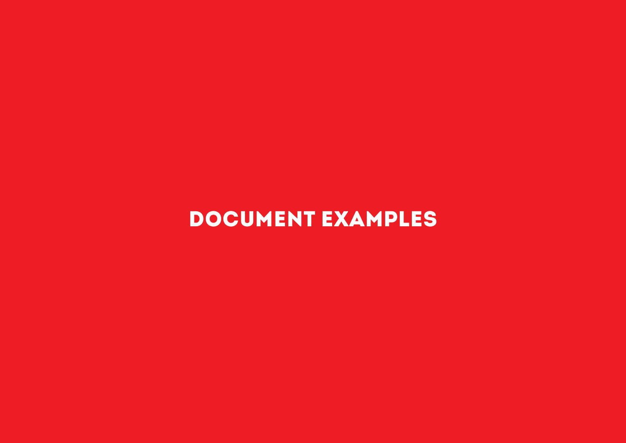## DOCUMENT EXAMPLES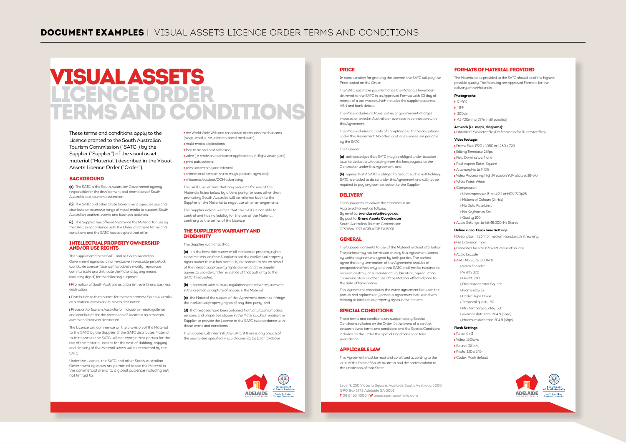### VISUAL ASSETS LICENCE ORDER TERMS AND CONDITIONS

These terms and conditions apply to the Licence granted to the South Australian Tourism Commission ("SATC") by the Supplier ("Supplier") of the visual asset material ("Material") described in the Visual Assets Licence Order ("Order").

#### **BACKGROUND**

**(a)** The SATC is the South Australian Government agency responsible for the development and promotion of South Australia as a tourism destination.

**(b)** The SATC and other State Government agencies use and distribute an extensive range of visual media to support South Australian tourism, events and business activities.

**(c)** The Supplier has offered to provide the Material for use by the SATC in accordance with the Order and these terms and conditions and the SATC has accepted that offer.

#### INTELLECTUAL PROPERTY OWNERSHIP AND/OR USE RIGHTS

The Supplier grants the SATC and all South Australian Government agencies, a non-exclusive, irrevocable, perpetual, worldwide licence ("Licence") to publish, modify, reproduce, communicate and distribute the Material by any means (including digital) for the following purposes:

 Promotion of South Australia as a tourism, events and business destination.

 Distribution to third parties for them to promote South Australia as a tourism, events and business destination.

 Provision to Tourism Australia for inclusion in media galleries and distribution for the promotion of Australia as a tourism, events and business destination.

The Licence will commence on the provision of the Material to the SATC by the Supplier. If the SATC distributes Material to third parties the SATC will not charge third parties for the use of the Material, except for the cost of dubbing, copying and delivery of the Material which will be recovered by the SATC.

Under the Licence, the SATC and other South Australian Government agencies are permitted to use the Material in the commercial arena to a global audience including but not limited to:

 the World Wide Web and associated distribution mechanisms (blogs, email, e-newsletters, social media etc); multi-media applications; free to air and paid television; video (i.e. trade and consumer applications, in-flight viewing etc) print publications press advertising and editorial; promotional items (t-shirts, mugs, posters, signs, etc);

 billboards/outdoor/OOH advertising. The SATC will ensure that any requests for use of the

Materials listed below by a third party for uses other than promoting South Australia will be referred back to the Supplier of the Material to negotiate other arrangements.

The Supplier acknowledges that the SATC is not able to control and has no liability for the use of the Material contrary to the terms of the Licence.

#### THE SUPPLIER'S WARRANTY AND INDEMNITY

The Supplier warrants that:

**(a)** it is the bona fide owner of all intellectual property rights in the Material or if the Supplier is not the intellectual property rights owner then it has been duly authorised to act on behalf of the intellectual property rights owner, and the Supplier agrees to provide written evidence of that authority to the SATC if requested;

**(b)** it complied with all laws, regulations and other requirements in the creation or capture of images in the Material;

**(c)** the Material the subject of this Agreement does not infringe the intellectual property rights of any third party; and

**(d)** that releases have been obtained from any talent, models persons and properties shown in the Material which enable the Supplier to provide the Licence to the SATC in accordance with these terms and conditions.

The Supplier will indemnify the SATC if there is any breach of the warranties specified in sub clauses (a), (b), (c) or (d) above.



#### PRICE

In consideration for granting the Licence, the SATC will pay the Price stated on the Order.

The SATC will make payment once the Materials have been delivered to the SATC in an Approved Format with 30 day of receipt of a tax invoice which includes the suppliers address, ABN and bank details.

The Price includes all taxes, duties or government charges imposed or levied in Australia or overseas in connection with this Agreement.

The Price includes all costs of compliance with the obligations under this Agreement. No other cost or expenses are payable by the SATC.

The Supplier:

**(a)** acknowledges that SATC may be obliged under taxation laws to deduct a withholding from the fees payable to the Contractor under this Agreement; and

**(b)** agrees that if SATC is obliged to deduct such a withholding, SATC is entitled to do so under this Agreement and will not be required to pay any compensation to the Supplier.

#### **DELIVERY**

The Supplier must deliver the Materials in an Approved Format as follows: By emal to: **brandassets@sa.gov.au** By post to: **Brand Assets Coordinator** South Australian Tourism Commission GPO Box 1972 ADELAIDE SA 5001

#### **GENERAL**

The Supplier consents to use of the Material without attribution. The parties may not terminate or vary this Agreement except by written agreement signed by both parties. The parties agree that any termination of the Agreement shall be of prospective effect only, and that SATC shall not be required to recover, destroy, or surrender any publication, reproduction, communication or other use of the Material effected prior to the date of termination.

This Agreement constitutes the entire agreement between the parties and replaces any previous agreement between them relating to intellectual property rights in the Material.

#### SPECIAL CONDITIONS

These terms and conditions are subject to any Special Conditions included on the Order. In the event of a conflict between these terms and conditions and the Special Conditions included on the Order the Special Conditions shall take precedence.

#### APPLICABLE LAW

This Agreement must be read and construed according to the laws of the State of South Australia and the parties submit to the jurisdiction of that State.

Level 9, 250 Victoria Square, Adelaide South Australia 5000 GPO Box 1972 Adelaide SA 5001 **T** 08 8463 4500 | **W** www.southaustralia.com

#### FORMATS OF MATERIAL PROVIDED

The Material to be provided to the SATC should be of the highest possible quality. The following are Approved Formats for the delivery of the Materials.

#### **Photographs:**

- **K** CMVV
- **N** TTCC

 $\blacktriangleright$  300dpi

A3 420mm x 297mm (if possible)

#### **Artwork (i.e. maps, diagrams):**

Editable EPS/Vector file (Preference is for Illustrator files)

#### **Video footage:**

- Frame Size: 1920 x 1080 or 1280 x 720
- Editing Timebase: 25fps
- Field Dominance: None
- Pixel Aspect Ratio: Square
- Anamorphic 16:9: Off
- Video Processing: High Precision YUV allowed (8-bit)
- White Point: White
- Compressor:
- Uncompressed 8-bit 4:2:2 or HDV 720p25 Millions of Colours (24-bit)
- No Data Rate Limit
- No Keyframes Set
- Quality 100
- Audio Settings: 16-bit,48.000kHz Stereo

#### **Online video: QuickTime Settings**

- Description: H.264 for medium-bandwidth streaming
- File Extension: mov
- Estimated file size: 87.89 MB/hour of source
- Audio Encoder AAC, Mono, 32.000 kHz
- Video Encoder
- Width: 320
- Height: 240
- Pixel aspect ratio: Square
- Frame rate: 12
- Codec Type: H.264
- Temporal quality: 50
- Min. temporal quality: 50
- Average data rate: 204.8 (Kbps) Maximum data rate: 204.8 (Kbps)

#### **Flash Settings**

- $R$ ntio:  $4 \times 3$
- Video: 150kb/s
- Sound: 32kb/s Pixels: 320 x 240
- Codex: Flash default

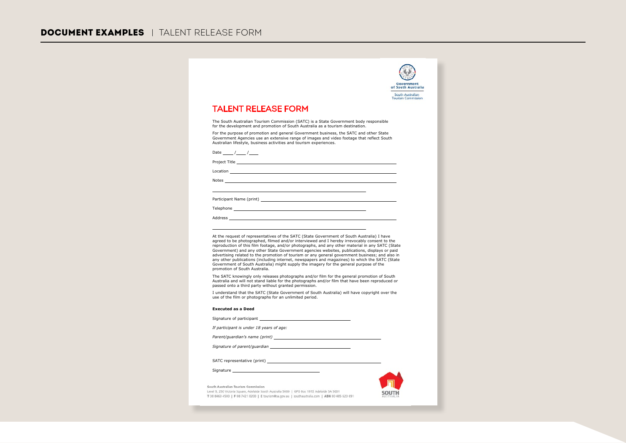|                                                                                                                                                                                                                                                                                                                                                                                                                                                                                                 | South Australian<br><b>Tourism Commission</b> |
|-------------------------------------------------------------------------------------------------------------------------------------------------------------------------------------------------------------------------------------------------------------------------------------------------------------------------------------------------------------------------------------------------------------------------------------------------------------------------------------------------|-----------------------------------------------|
| <b>TALENT RELEASE FORM</b>                                                                                                                                                                                                                                                                                                                                                                                                                                                                      |                                               |
| The South Australian Tourism Commission (SATC) is a State Government body responsible                                                                                                                                                                                                                                                                                                                                                                                                           |                                               |
| for the development and promotion of South Australia as a tourism destination.                                                                                                                                                                                                                                                                                                                                                                                                                  |                                               |
| For the purpose of promotion and general Government business, the SATC and other State<br>Government Agencies use an extensive range of images and video footage that reflect South<br>Australian lifestyle, business activities and tourism experiences.                                                                                                                                                                                                                                       |                                               |
| Date $/$ /                                                                                                                                                                                                                                                                                                                                                                                                                                                                                      |                                               |
| Project Title <b>Example 2018</b>                                                                                                                                                                                                                                                                                                                                                                                                                                                               |                                               |
| Location                                                                                                                                                                                                                                                                                                                                                                                                                                                                                        |                                               |
| Notes and the contract of the contract of the contract of the contract of the contract of the contract of the contract of the contract of the contract of the contract of the contract of the contract of the contract of the                                                                                                                                                                                                                                                                   |                                               |
|                                                                                                                                                                                                                                                                                                                                                                                                                                                                                                 |                                               |
|                                                                                                                                                                                                                                                                                                                                                                                                                                                                                                 |                                               |
|                                                                                                                                                                                                                                                                                                                                                                                                                                                                                                 |                                               |
| Address and the contract of the contract of the contract of the contract of the contract of the contract of the contract of the contract of the contract of the contract of the contract of the contract of the contract of th                                                                                                                                                                                                                                                                  |                                               |
| At the request of representatives of the SATC (State Government of South Australia) I have<br>agreed to be photographed, filmed and/or interviewed and I hereby irrevocably consent to the                                                                                                                                                                                                                                                                                                      |                                               |
| reproduction of this film footage, and/or photographs, and any other material in any SATC (State<br>Government) and any other State Government agencies websites, publications, displays or paid<br>advertising related to the promotion of tourism or any general government business; and also in<br>any other publications (including internet, newspapers and magazines) to which the SATC (State<br>Government of South Australia) might supply the imagery for the general purpose of the |                                               |
| promotion of South Australia.<br>The SATC knowingly only releases photographs and/or film for the general promotion of South<br>Australia and will not stand liable for the photographs and/or film that have been reproduced or<br>passed onto a third party without granted permission.                                                                                                                                                                                                       |                                               |
| I understand that the SATC (State Government of South Australia) will have copyright over the<br>use of the film or photographs for an unlimited period.                                                                                                                                                                                                                                                                                                                                        |                                               |
| <b>Executed as a Deed</b>                                                                                                                                                                                                                                                                                                                                                                                                                                                                       |                                               |
| Signature of participant Signature of participant                                                                                                                                                                                                                                                                                                                                                                                                                                               |                                               |
| If participant is under 18 years of age:                                                                                                                                                                                                                                                                                                                                                                                                                                                        |                                               |
|                                                                                                                                                                                                                                                                                                                                                                                                                                                                                                 |                                               |
|                                                                                                                                                                                                                                                                                                                                                                                                                                                                                                 |                                               |
|                                                                                                                                                                                                                                                                                                                                                                                                                                                                                                 |                                               |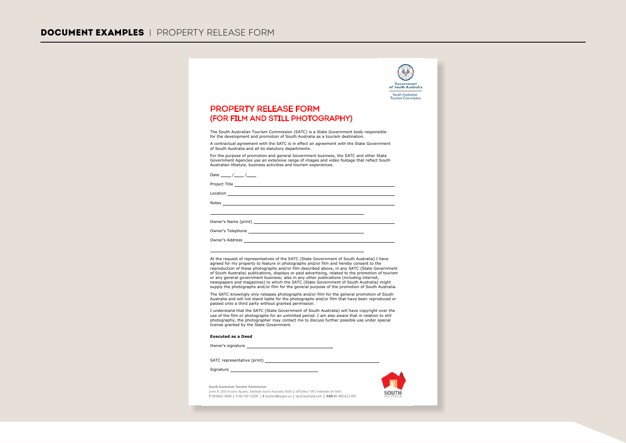| Government<br>of South Australia<br>South Australian<br><b>Tourism Commission</b>                                                                                                                                                                                                                                                                                                                                                                                                                                                                                                                                                                                                    |
|--------------------------------------------------------------------------------------------------------------------------------------------------------------------------------------------------------------------------------------------------------------------------------------------------------------------------------------------------------------------------------------------------------------------------------------------------------------------------------------------------------------------------------------------------------------------------------------------------------------------------------------------------------------------------------------|
| <b>PROPERTY RELEASE FORM</b><br>(FOR FILM AND STILL PHOTOGRAPHY)                                                                                                                                                                                                                                                                                                                                                                                                                                                                                                                                                                                                                     |
| The South Australian Tourism Commission (SATC) is a State Government body responsible<br>for the development and promotion of South Australia as a tourism destination.                                                                                                                                                                                                                                                                                                                                                                                                                                                                                                              |
| A contractual agreement with the SATC is in effect an agreement with the State Government<br>of South Australia and all its statutory departments.                                                                                                                                                                                                                                                                                                                                                                                                                                                                                                                                   |
| For the purpose of promotion and general Government business, the SATC and other State<br>Government Agencies use an extensive range of images and video footage that reflect South<br>Australian lifestyle, business activities and tourism experiences.                                                                                                                                                                                                                                                                                                                                                                                                                            |
| Date $/$ /                                                                                                                                                                                                                                                                                                                                                                                                                                                                                                                                                                                                                                                                           |
| Project Title <b>Example 2018</b>                                                                                                                                                                                                                                                                                                                                                                                                                                                                                                                                                                                                                                                    |
| <b>Location Example 20</b>                                                                                                                                                                                                                                                                                                                                                                                                                                                                                                                                                                                                                                                           |
| Notes and the contract of the contract of the contract of the contract of the contract of the contract of the contract of the contract of the contract of the contract of the contract of the contract of the contract of the                                                                                                                                                                                                                                                                                                                                                                                                                                                        |
|                                                                                                                                                                                                                                                                                                                                                                                                                                                                                                                                                                                                                                                                                      |
|                                                                                                                                                                                                                                                                                                                                                                                                                                                                                                                                                                                                                                                                                      |
|                                                                                                                                                                                                                                                                                                                                                                                                                                                                                                                                                                                                                                                                                      |
| At the request of representatives of the SATC (State Government of South Australia) I have<br>agreed for my property to feature in photographs and/or film and hereby consent to the<br>reproduction of these photographs and/or film described above, in any SATC (State Government<br>of South Australia) publications, displays or paid advertising, related to the promotion of tourism<br>or any general government business; also in any other publications (including internet,<br>newspapers and magazines) to which the SATC (State Government of South Australia) might<br>supply the photographs and/or film for the general purpose of the promotion of South Australia. |
| The SATC knowingly only releases photographs and/or film for the general promotion of South<br>Australia and will not stand liable for the photographs and/or film that have been reproduced or<br>passed onto a third party without granted permission.                                                                                                                                                                                                                                                                                                                                                                                                                             |
| I understand that the SATC (State Government of South Australia) will have copyright over the<br>use of the film or photographs for an unlimited period. I am also aware that in relation to still<br>photography, the photographer may contact me to discuss further possible use under special<br>license granted by the State Government.                                                                                                                                                                                                                                                                                                                                         |

Owner's signature

SATC representative (print) \_\_\_\_\_\_

Signature

South Australian Tourism Commission Level 9, 250 Victoria Square, Adelaide South Australia 5000 | GPO Box 1972 Adelaide SA 5001 T 08 8463 4500 | F 08 7421 0200 | E tourism@sa.gov.au | southaustralia.com | ABN 80 485 623 691

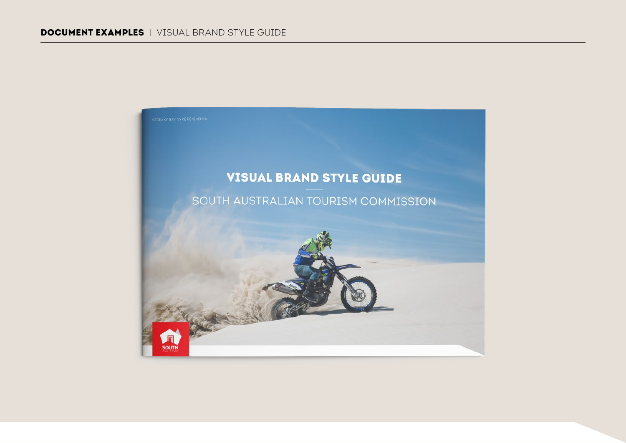